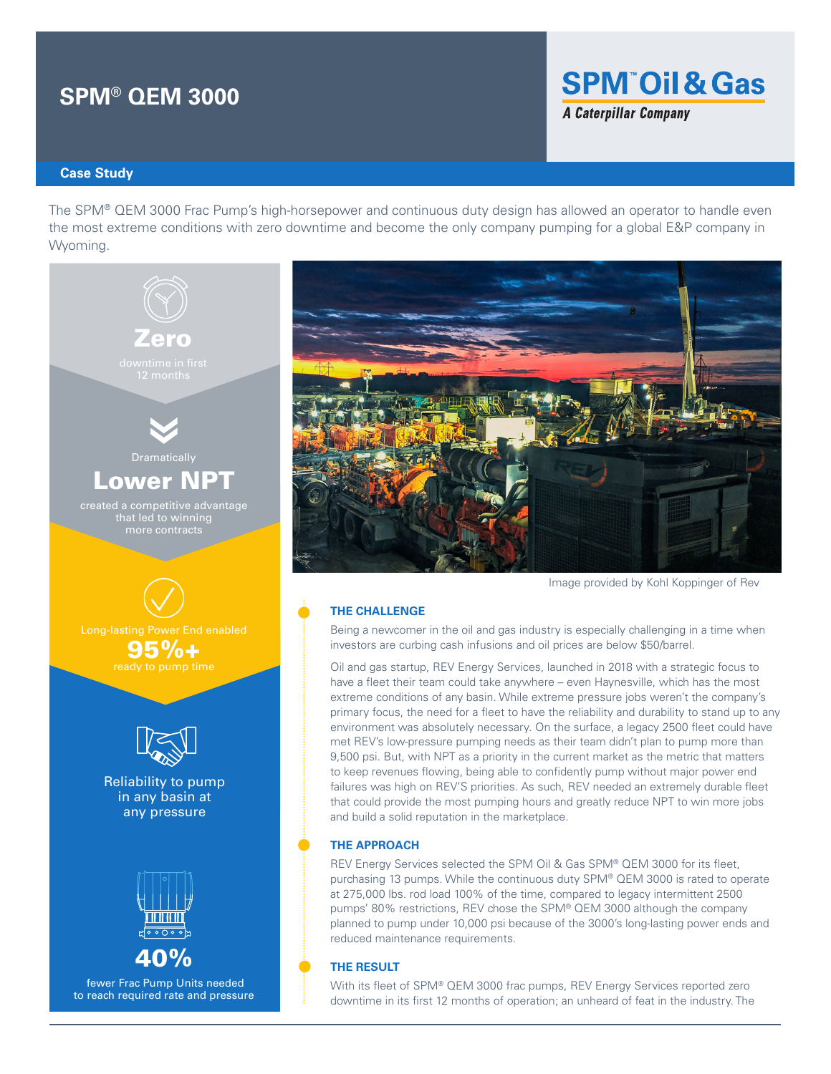# **SPM® QEM 3000**

## **SPM Oil & Gas A Caterpillar Company**

**Case Study**

The SPM® QEM 3000 Frac Pump's high-horsepower and continuous duty design has allowed an operator to handle even the most extreme conditions with zero downtime and become the only company pumping for a global E&P company in Wyoming.





Image provided by Kohl Koppinger of Rev

#### **THE CHALLENGE**

Being a newcomer in the oil and gas industry is especially challenging in a time when investors are curbing cash infusions and oil prices are below \$50/barrel.

Oil and gas startup, REV Energy Services, launched in 2018 with a strategic focus to have a fleet their team could take anywhere – even Haynesville, which has the most extreme conditions of any basin. While extreme pressure jobs weren't the company's primary focus, the need for a fleet to have the reliability and durability to stand up to any environment was absolutely necessary. On the surface, a legacy 2500 fleet could have met REV's low-pressure pumping needs as their team didn't plan to pump more than 9,500 psi. But, with NPT as a priority in the current market as the metric that matters to keep revenues flowing, being able to confidently pump without major power end failures was high on REV'S priorities. As such, REV needed an extremely durable fleet that could provide the most pumping hours and greatly reduce NPT to win more jobs and build a solid reputation in the marketplace.

#### **THE APPROACH**

REV Energy Services selected the SPM Oil & Gas SPM® QEM 3000 for its fleet, purchasing 13 pumps. While the continuous duty SPM® QEM 3000 is rated to operate at 275,000 lbs. rod load 100% of the time, compared to legacy intermittent 2500 pumps' 80% restrictions, REV chose the SPM® QEM 3000 although the company planned to pump under 10,000 psi because of the 3000's long-lasting power ends and reduced maintenance requirements.

#### **THE RESULT**

With its fleet of SPM® QEM 3000 frac pumps, REV Energy Services reported zero downtime in its first 12 months of operation; an unheard of feat in the industry. The